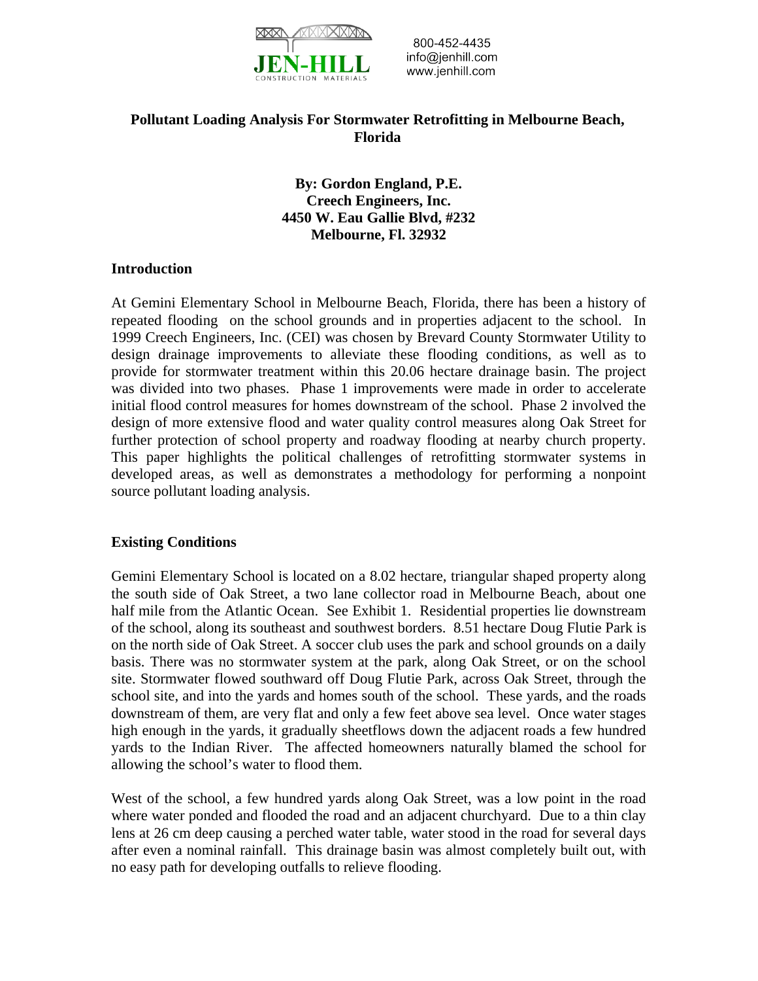

800-452-4435 info@jenhill.com www.jenhill.com

# **Pollutant Loading Analysis For Stormwater Retrofitting in Melbourne Beach, Florida**

**By: Gordon England, P.E. Creech Engineers, Inc. 4450 W. Eau Gallie Blvd, #232 Melbourne, Fl. 32932** 

#### **Introduction**

At Gemini Elementary School in Melbourne Beach, Florida, there has been a history of repeated flooding on the school grounds and in properties adjacent to the school. In 1999 Creech Engineers, Inc. (CEI) was chosen by Brevard County Stormwater Utility to design drainage improvements to alleviate these flooding conditions, as well as to provide for stormwater treatment within this 20.06 hectare drainage basin. The project was divided into two phases. Phase 1 improvements were made in order to accelerate initial flood control measures for homes downstream of the school. Phase 2 involved the design of more extensive flood and water quality control measures along Oak Street for further protection of school property and roadway flooding at nearby church property. This paper highlights the political challenges of retrofitting stormwater systems in developed areas, as well as demonstrates a methodology for performing a nonpoint source pollutant loading analysis.

#### **Existing Conditions**

Gemini Elementary School is located on a 8.02 hectare, triangular shaped property along the south side of Oak Street, a two lane collector road in Melbourne Beach, about one half mile from the Atlantic Ocean. See Exhibit 1. Residential properties lie downstream of the school, along its southeast and southwest borders. 8.51 hectare Doug Flutie Park is on the north side of Oak Street. A soccer club uses the park and school grounds on a daily basis. There was no stormwater system at the park, along Oak Street, or on the school site. Stormwater flowed southward off Doug Flutie Park, across Oak Street, through the school site, and into the yards and homes south of the school. These yards, and the roads downstream of them, are very flat and only a few feet above sea level. Once water stages high enough in the yards, it gradually sheetflows down the adjacent roads a few hundred yards to the Indian River. The affected homeowners naturally blamed the school for allowing the school's water to flood them.

West of the school, a few hundred yards along Oak Street, was a low point in the road where water ponded and flooded the road and an adjacent churchyard. Due to a thin clay lens at 26 cm deep causing a perched water table, water stood in the road for several days after even a nominal rainfall. This drainage basin was almost completely built out, with no easy path for developing outfalls to relieve flooding.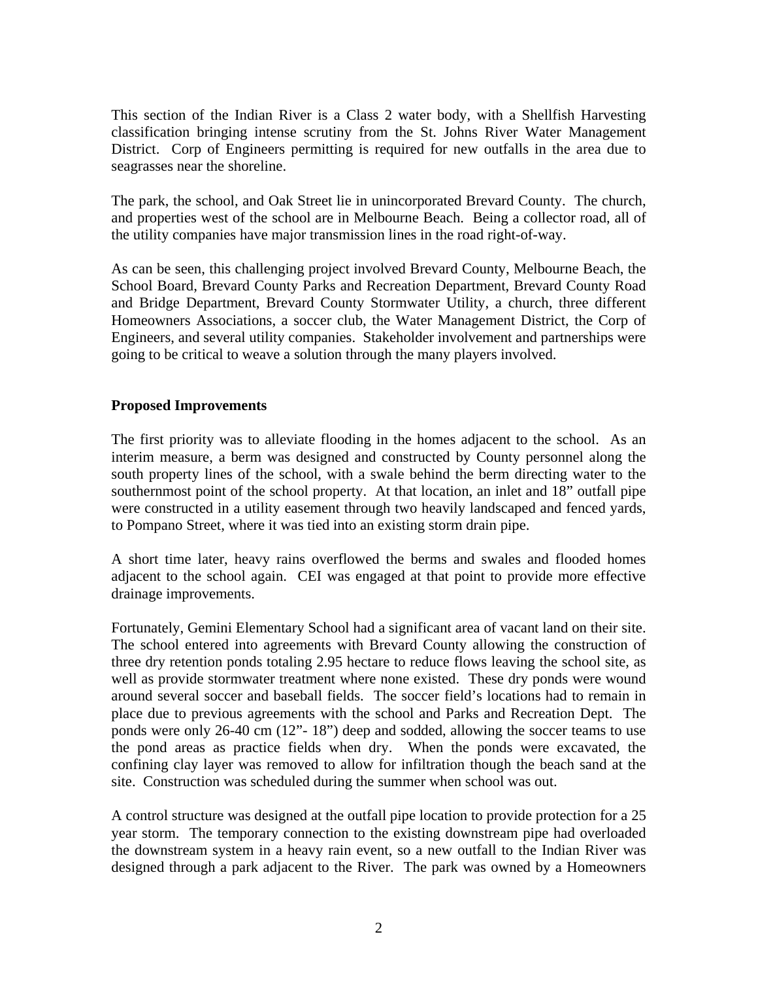This section of the Indian River is a Class 2 water body, with a Shellfish Harvesting classification bringing intense scrutiny from the St. Johns River Water Management District. Corp of Engineers permitting is required for new outfalls in the area due to seagrasses near the shoreline.

The park, the school, and Oak Street lie in unincorporated Brevard County. The church, and properties west of the school are in Melbourne Beach. Being a collector road, all of the utility companies have major transmission lines in the road right-of-way.

As can be seen, this challenging project involved Brevard County, Melbourne Beach, the School Board, Brevard County Parks and Recreation Department, Brevard County Road and Bridge Department, Brevard County Stormwater Utility, a church, three different Homeowners Associations, a soccer club, the Water Management District, the Corp of Engineers, and several utility companies. Stakeholder involvement and partnerships were going to be critical to weave a solution through the many players involved.

## **Proposed Improvements**

The first priority was to alleviate flooding in the homes adjacent to the school. As an interim measure, a berm was designed and constructed by County personnel along the south property lines of the school, with a swale behind the berm directing water to the southernmost point of the school property. At that location, an inlet and 18" outfall pipe were constructed in a utility easement through two heavily landscaped and fenced yards, to Pompano Street, where it was tied into an existing storm drain pipe.

A short time later, heavy rains overflowed the berms and swales and flooded homes adjacent to the school again. CEI was engaged at that point to provide more effective drainage improvements.

Fortunately, Gemini Elementary School had a significant area of vacant land on their site. The school entered into agreements with Brevard County allowing the construction of three dry retention ponds totaling 2.95 hectare to reduce flows leaving the school site, as well as provide stormwater treatment where none existed. These dry ponds were wound around several soccer and baseball fields. The soccer field's locations had to remain in place due to previous agreements with the school and Parks and Recreation Dept. The ponds were only 26-40 cm (12"- 18") deep and sodded, allowing the soccer teams to use the pond areas as practice fields when dry. When the ponds were excavated, the confining clay layer was removed to allow for infiltration though the beach sand at the site. Construction was scheduled during the summer when school was out.

A control structure was designed at the outfall pipe location to provide protection for a 25 year storm. The temporary connection to the existing downstream pipe had overloaded the downstream system in a heavy rain event, so a new outfall to the Indian River was designed through a park adjacent to the River. The park was owned by a Homeowners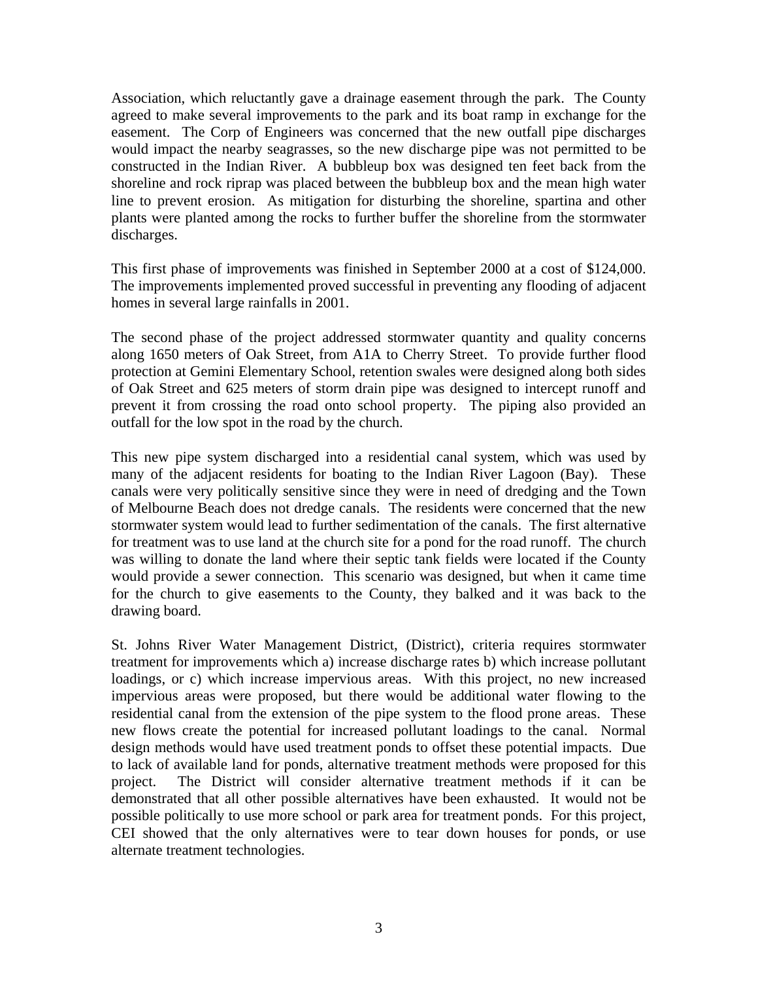Association, which reluctantly gave a drainage easement through the park. The County agreed to make several improvements to the park and its boat ramp in exchange for the easement. The Corp of Engineers was concerned that the new outfall pipe discharges would impact the nearby seagrasses, so the new discharge pipe was not permitted to be constructed in the Indian River. A bubbleup box was designed ten feet back from the shoreline and rock riprap was placed between the bubbleup box and the mean high water line to prevent erosion. As mitigation for disturbing the shoreline, spartina and other plants were planted among the rocks to further buffer the shoreline from the stormwater discharges.

This first phase of improvements was finished in September 2000 at a cost of \$124,000. The improvements implemented proved successful in preventing any flooding of adjacent homes in several large rainfalls in 2001.

The second phase of the project addressed stormwater quantity and quality concerns along 1650 meters of Oak Street, from A1A to Cherry Street. To provide further flood protection at Gemini Elementary School, retention swales were designed along both sides of Oak Street and 625 meters of storm drain pipe was designed to intercept runoff and prevent it from crossing the road onto school property. The piping also provided an outfall for the low spot in the road by the church.

This new pipe system discharged into a residential canal system, which was used by many of the adjacent residents for boating to the Indian River Lagoon (Bay). These canals were very politically sensitive since they were in need of dredging and the Town of Melbourne Beach does not dredge canals. The residents were concerned that the new stormwater system would lead to further sedimentation of the canals. The first alternative for treatment was to use land at the church site for a pond for the road runoff. The church was willing to donate the land where their septic tank fields were located if the County would provide a sewer connection. This scenario was designed, but when it came time for the church to give easements to the County, they balked and it was back to the drawing board.

St. Johns River Water Management District, (District), criteria requires stormwater treatment for improvements which a) increase discharge rates b) which increase pollutant loadings, or c) which increase impervious areas. With this project, no new increased impervious areas were proposed, but there would be additional water flowing to the residential canal from the extension of the pipe system to the flood prone areas. These new flows create the potential for increased pollutant loadings to the canal. Normal design methods would have used treatment ponds to offset these potential impacts. Due to lack of available land for ponds, alternative treatment methods were proposed for this project. The District will consider alternative treatment methods if it can be demonstrated that all other possible alternatives have been exhausted. It would not be possible politically to use more school or park area for treatment ponds. For this project, CEI showed that the only alternatives were to tear down houses for ponds, or use alternate treatment technologies.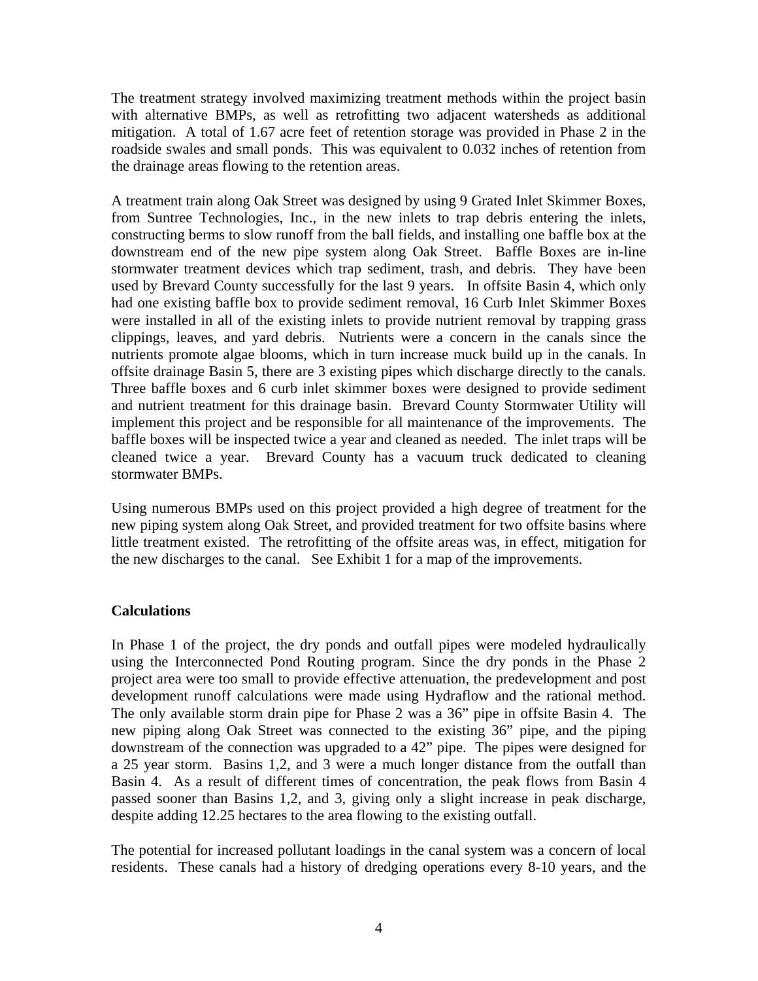The treatment strategy involved maximizing treatment methods within the project basin with alternative BMPs, as well as retrofitting two adjacent watersheds as additional mitigation. A total of 1.67 acre feet of retention storage was provided in Phase 2 in the roadside swales and small ponds. This was equivalent to 0.032 inches of retention from the drainage areas flowing to the retention areas.

A treatment train along Oak Street was designed by using 9 Grated Inlet Skimmer Boxes, from Suntree Technologies, Inc., in the new inlets to trap debris entering the inlets, constructing berms to slow runoff from the ball fields, and installing one baffle box at the downstream end of the new pipe system along Oak Street. Baffle Boxes are in-line stormwater treatment devices which trap sediment, trash, and debris. They have been used by Brevard County successfully for the last 9 years. In offsite Basin 4, which only had one existing baffle box to provide sediment removal, 16 Curb Inlet Skimmer Boxes were installed in all of the existing inlets to provide nutrient removal by trapping grass clippings, leaves, and yard debris. Nutrients were a concern in the canals since the nutrients promote algae blooms, which in turn increase muck build up in the canals. In offsite drainage Basin 5, there are 3 existing pipes which discharge directly to the canals. Three baffle boxes and 6 curb inlet skimmer boxes were designed to provide sediment and nutrient treatment for this drainage basin. Brevard County Stormwater Utility will implement this project and be responsible for all maintenance of the improvements. The baffle boxes will be inspected twice a year and cleaned as needed. The inlet traps will be cleaned twice a year. Brevard County has a vacuum truck dedicated to cleaning stormwater BMPs.

Using numerous BMPs used on this project provided a high degree of treatment for the new piping system along Oak Street, and provided treatment for two offsite basins where little treatment existed. The retrofitting of the offsite areas was, in effect, mitigation for the new discharges to the canal. See Exhibit 1 for a map of the improvements.

#### **Calculations**

In Phase 1 of the project, the dry ponds and outfall pipes were modeled hydraulically using the Interconnected Pond Routing program. Since the dry ponds in the Phase 2 project area were too small to provide effective attenuation, the predevelopment and post development runoff calculations were made using Hydraflow and the rational method. The only available storm drain pipe for Phase 2 was a 36" pipe in offsite Basin 4. The new piping along Oak Street was connected to the existing 36" pipe, and the piping downstream of the connection was upgraded to a 42" pipe. The pipes were designed for a 25 year storm. Basins 1,2, and 3 were a much longer distance from the outfall than Basin 4. As a result of different times of concentration, the peak flows from Basin 4 passed sooner than Basins 1,2, and 3, giving only a slight increase in peak discharge, despite adding 12.25 hectares to the area flowing to the existing outfall.

The potential for increased pollutant loadings in the canal system was a concern of local residents. These canals had a history of dredging operations every 8-10 years, and the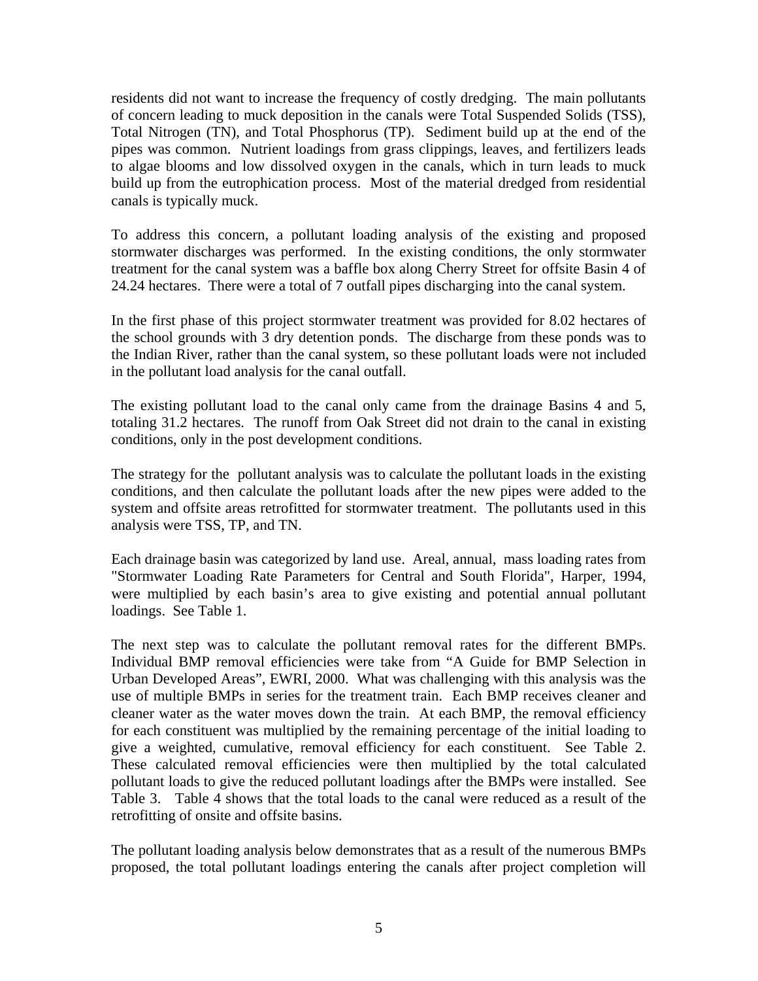residents did not want to increase the frequency of costly dredging. The main pollutants of concern leading to muck deposition in the canals were Total Suspended Solids (TSS), Total Nitrogen (TN), and Total Phosphorus (TP). Sediment build up at the end of the pipes was common. Nutrient loadings from grass clippings, leaves, and fertilizers leads to algae blooms and low dissolved oxygen in the canals, which in turn leads to muck build up from the eutrophication process. Most of the material dredged from residential canals is typically muck.

To address this concern, a pollutant loading analysis of the existing and proposed stormwater discharges was performed. In the existing conditions, the only stormwater treatment for the canal system was a baffle box along Cherry Street for offsite Basin 4 of 24.24 hectares. There were a total of 7 outfall pipes discharging into the canal system.

In the first phase of this project stormwater treatment was provided for 8.02 hectares of the school grounds with 3 dry detention ponds. The discharge from these ponds was to the Indian River, rather than the canal system, so these pollutant loads were not included in the pollutant load analysis for the canal outfall.

The existing pollutant load to the canal only came from the drainage Basins 4 and 5, totaling 31.2 hectares. The runoff from Oak Street did not drain to the canal in existing conditions, only in the post development conditions.

The strategy for the pollutant analysis was to calculate the pollutant loads in the existing conditions, and then calculate the pollutant loads after the new pipes were added to the system and offsite areas retrofitted for stormwater treatment. The pollutants used in this analysis were TSS, TP, and TN.

Each drainage basin was categorized by land use. Areal, annual, mass loading rates from "Stormwater Loading Rate Parameters for Central and South Florida", Harper, 1994, were multiplied by each basin's area to give existing and potential annual pollutant loadings. See Table 1.

The next step was to calculate the pollutant removal rates for the different BMPs. Individual BMP removal efficiencies were take from "A Guide for BMP Selection in Urban Developed Areas", EWRI, 2000. What was challenging with this analysis was the use of multiple BMPs in series for the treatment train. Each BMP receives cleaner and cleaner water as the water moves down the train. At each BMP, the removal efficiency for each constituent was multiplied by the remaining percentage of the initial loading to give a weighted, cumulative, removal efficiency for each constituent. See Table 2. These calculated removal efficiencies were then multiplied by the total calculated pollutant loads to give the reduced pollutant loadings after the BMPs were installed. See Table 3. Table 4 shows that the total loads to the canal were reduced as a result of the retrofitting of onsite and offsite basins.

The pollutant loading analysis below demonstrates that as a result of the numerous BMPs proposed, the total pollutant loadings entering the canals after project completion will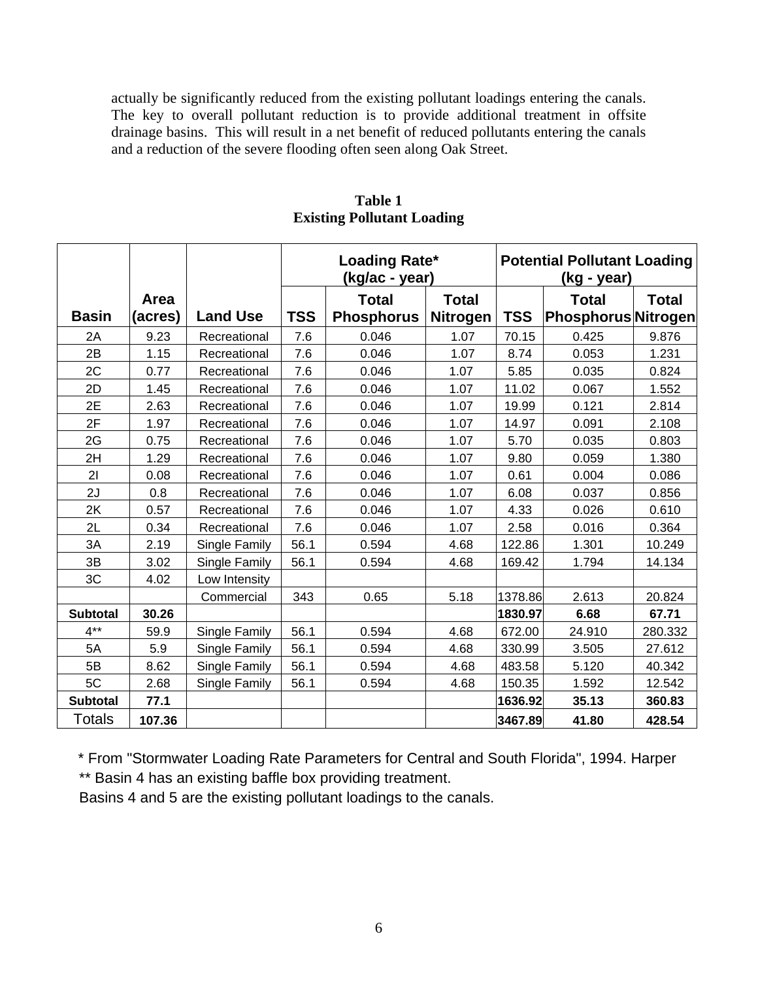actually be significantly reduced from the existing pollutant loadings entering the canals. The key to overall pollutant reduction is to provide additional treatment in offsite drainage basins. This will result in a net benefit of reduced pollutants entering the canals and a reduction of the severe flooding often seen along Oak Street.

|                 |         |                 | Loading Rate*<br>(kg/ac - year) |                   |                 | <b>Potential Pollutant Loading</b><br>(kg - year) |                            |              |  |
|-----------------|---------|-----------------|---------------------------------|-------------------|-----------------|---------------------------------------------------|----------------------------|--------------|--|
|                 | Area    |                 |                                 | <b>Total</b>      | <b>Total</b>    |                                                   | <b>Total</b>               | <b>Total</b> |  |
| <b>Basin</b>    | (acres) | <b>Land Use</b> | <b>TSS</b>                      | <b>Phosphorus</b> | <b>Nitrogen</b> | <b>TSS</b>                                        | <b>Phosphorus Nitrogen</b> |              |  |
| 2A              | 9.23    | Recreational    | 7.6                             | 0.046             | 1.07            | 70.15                                             | 0.425                      | 9.876        |  |
| 2B              | 1.15    | Recreational    | 7.6                             | 0.046             | 1.07            | 8.74                                              | 0.053                      | 1.231        |  |
| 2C              | 0.77    | Recreational    | 7.6                             | 0.046             | 1.07            | 5.85                                              | 0.035                      | 0.824        |  |
| 2D              | 1.45    | Recreational    | 7.6                             | 0.046             | 1.07            | 11.02                                             | 0.067                      | 1.552        |  |
| 2E              | 2.63    | Recreational    | 7.6                             | 0.046             | 1.07            | 19.99                                             | 0.121                      | 2.814        |  |
| 2F              | 1.97    | Recreational    | 7.6                             | 0.046             | 1.07            | 14.97                                             | 0.091                      | 2.108        |  |
| 2G              | 0.75    | Recreational    | 7.6                             | 0.046             | 1.07            | 5.70                                              | 0.035                      | 0.803        |  |
| 2H              | 1.29    | Recreational    | 7.6                             | 0.046             | 1.07            | 9.80                                              | 0.059                      | 1.380        |  |
| 21              | 0.08    | Recreational    | 7.6                             | 0.046             | 1.07            | 0.61                                              | 0.004                      | 0.086        |  |
| 2J              | 0.8     | Recreational    | 7.6                             | 0.046             | 1.07            | 6.08                                              | 0.037                      | 0.856        |  |
| 2K              | 0.57    | Recreational    | 7.6                             | 0.046             | 1.07            | 4.33                                              | 0.026                      | 0.610        |  |
| 2L              | 0.34    | Recreational    | 7.6                             | 0.046             | 1.07            | 2.58                                              | 0.016                      | 0.364        |  |
| 3A              | 2.19    | Single Family   | 56.1                            | 0.594             | 4.68            | 122.86                                            | 1.301                      | 10.249       |  |
| 3B              | 3.02    | Single Family   | 56.1                            | 0.594             | 4.68            | 169.42                                            | 1.794                      | 14.134       |  |
| 3C              | 4.02    | Low Intensity   |                                 |                   |                 |                                                   |                            |              |  |
|                 |         | Commercial      | 343                             | 0.65              | 5.18            | 1378.86                                           | 2.613                      | 20.824       |  |
| <b>Subtotal</b> | 30.26   |                 |                                 |                   |                 | 1830.97                                           | 6.68                       | 67.71        |  |
| $4***$          | 59.9    | Single Family   | 56.1                            | 0.594             | 4.68            | 672.00                                            | 24.910                     | 280.332      |  |
| 5A              | 5.9     | Single Family   | 56.1                            | 0.594             | 4.68            | 330.99                                            | 3.505                      | 27.612       |  |
| 5B              | 8.62    | Single Family   | 56.1                            | 0.594             | 4.68            | 483.58                                            | 5.120                      | 40.342       |  |
| 5C              | 2.68    | Single Family   | 56.1                            | 0.594             | 4.68            | 150.35                                            | 1.592                      | 12.542       |  |
| <b>Subtotal</b> | 77.1    |                 |                                 |                   |                 | 1636.92                                           | 35.13                      | 360.83       |  |
| <b>Totals</b>   | 107.36  |                 |                                 |                   |                 | 3467.89                                           | 41.80                      | 428.54       |  |

**Table 1 Existing Pollutant Loading** 

\* From "Stormwater Loading Rate Parameters for Central and South Florida", 1994. Harper \*\* Basin 4 has an existing baffle box providing treatment.

Basins 4 and 5 are the existing pollutant loadings to the canals.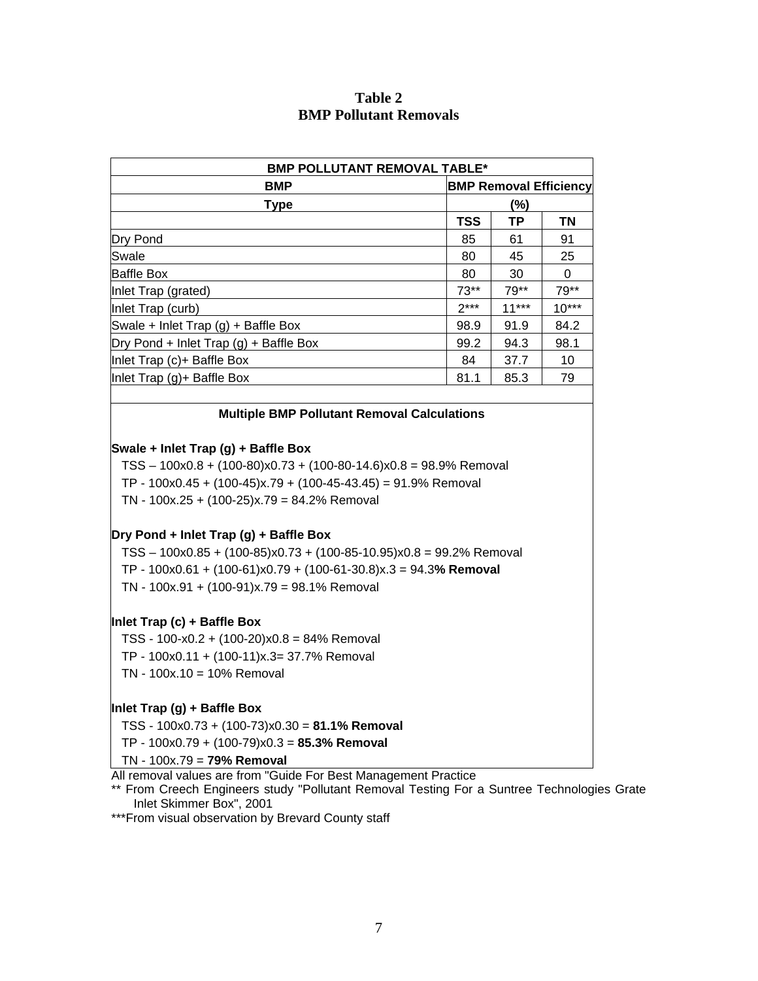## **Table 2 BMP Pollutant Removals**

| <b>BMP</b>                                                                                                                                                                              |            | <b>BMP POLLUTANT REMOVAL TABLE*</b><br><b>BMP Removal Efficiency</b> |         |  |  |  |  |
|-----------------------------------------------------------------------------------------------------------------------------------------------------------------------------------------|------------|----------------------------------------------------------------------|---------|--|--|--|--|
| <b>Type</b>                                                                                                                                                                             |            | (%)                                                                  |         |  |  |  |  |
|                                                                                                                                                                                         | <b>TSS</b> | <b>TP</b>                                                            | ΤN      |  |  |  |  |
| Dry Pond                                                                                                                                                                                | 85         | 61                                                                   | 91      |  |  |  |  |
| Swale                                                                                                                                                                                   | 80         | 45                                                                   | 25      |  |  |  |  |
| <b>Baffle Box</b>                                                                                                                                                                       | 80         | 30                                                                   | 0       |  |  |  |  |
| Inlet Trap (grated)                                                                                                                                                                     | $73**$     | 79**                                                                 | 79**    |  |  |  |  |
| Inlet Trap (curb)                                                                                                                                                                       | $2***$     | $11***$                                                              | $10***$ |  |  |  |  |
| Swale + Inlet Trap (g) + Baffle Box                                                                                                                                                     | 98.9       | 91.9                                                                 | 84.2    |  |  |  |  |
| Dry Pond + Inlet Trap (g) + Baffle Box                                                                                                                                                  | 99.2       | 94.3                                                                 | 98.1    |  |  |  |  |
| Inlet Trap (c)+ Baffle Box                                                                                                                                                              | 84         | 37.7                                                                 | 10      |  |  |  |  |
| Inlet Trap (g)+ Baffle Box                                                                                                                                                              | 81.1       | 85.3                                                                 | 79      |  |  |  |  |
|                                                                                                                                                                                         |            |                                                                      |         |  |  |  |  |
| <b>Multiple BMP Pollutant Removal Calculations</b>                                                                                                                                      |            |                                                                      |         |  |  |  |  |
| $TSS - 100x0.8 + (100-80)x0.73 + (100-80-14.6)x0.8 = 98.9%$ Removal<br>TP - $100x0.45 + (100-45)x.79 + (100-45-43.45) = 91.9%$ Removal<br>TN - $100x.25 + (100-25)x.79 = 84.2%$ Removal |            |                                                                      |         |  |  |  |  |
| Dry Pond + Inlet Trap (g) + Baffle Box                                                                                                                                                  |            |                                                                      |         |  |  |  |  |
| TSS - 100x0.85 + (100-85)x0.73 + (100-85-10.95)x0.8 = 99.2% Removal                                                                                                                     |            |                                                                      |         |  |  |  |  |
| TP - $100x0.61 + (100-61)x0.79 + (100-61-30.8)x.3 = 94.3%$ Removal                                                                                                                      |            |                                                                      |         |  |  |  |  |
| TN - $100x.91 + (100-91)x.79 = 98.1%$ Removal                                                                                                                                           |            |                                                                      |         |  |  |  |  |
| Inlet Trap (c) + Baffle Box                                                                                                                                                             |            |                                                                      |         |  |  |  |  |
| TSS - 100-x0.2 + $(100-20)x0.8 = 84%$ Removal                                                                                                                                           |            |                                                                      |         |  |  |  |  |
| TP - 100x0.11 + (100-11)x.3= 37.7% Removal                                                                                                                                              |            |                                                                      |         |  |  |  |  |
| $TN - 100x.10 = 10%$ Removal                                                                                                                                                            |            |                                                                      |         |  |  |  |  |
| Inlet Trap (g) + Baffle Box                                                                                                                                                             |            |                                                                      |         |  |  |  |  |
| TSS - 100x0.73 + (100-73)x0.30 = 81.1% Removal                                                                                                                                          |            |                                                                      |         |  |  |  |  |
| TP - $100x0.79 + (100-79)x0.3 = 85.3%$ Removal                                                                                                                                          |            |                                                                      |         |  |  |  |  |

TN - 100x.79 = **79% Removal**

All removal values are from "Guide For Best Management Practice

\*\* From Creech Engineers study "Pollutant Removal Testing For a Suntree Technologies Grate Inlet Skimmer Box", 2001

\*\*\*From visual observation by Brevard County staff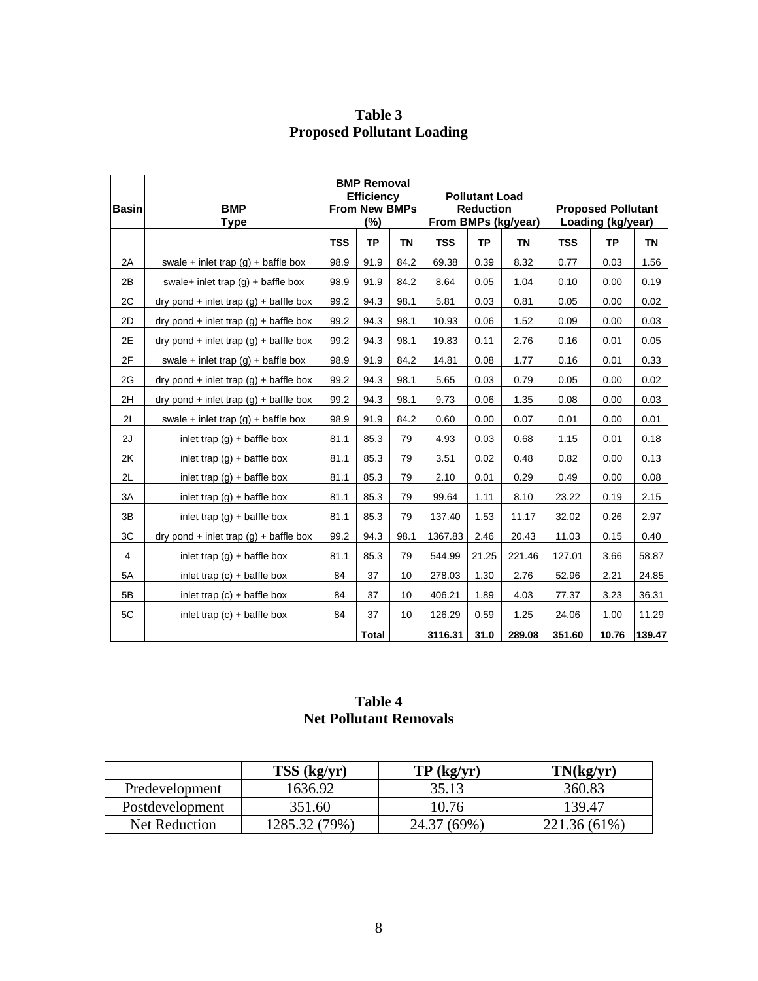|              |                                                               | <b>BMP Removal</b>   |              |                       |            |                           |                   |            |           |           |
|--------------|---------------------------------------------------------------|----------------------|--------------|-----------------------|------------|---------------------------|-------------------|------------|-----------|-----------|
|              |                                                               | <b>Efficiency</b>    |              | <b>Pollutant Load</b> |            |                           |                   |            |           |           |
| <b>Basin</b> | <b>BMP</b>                                                    | <b>From New BMPs</b> |              | <b>Reduction</b>      |            | <b>Proposed Pollutant</b> |                   |            |           |           |
|              | <b>Type</b>                                                   | $(\%)$               |              | From BMPs (kg/year)   |            |                           | Loading (kg/year) |            |           |           |
|              |                                                               | <b>TSS</b>           | <b>TP</b>    | <b>TN</b>             | <b>TSS</b> | <b>TP</b>                 | <b>TN</b>         | <b>TSS</b> | <b>TP</b> | <b>TN</b> |
| 2A           | swale + inlet trap $(g)$ + baffle box                         | 98.9                 | 91.9         | 84.2                  | 69.38      | 0.39                      | 8.32              | 0.77       | 0.03      | 1.56      |
| 2B           | swale+ inlet trap $(q)$ + baffle box                          | 98.9                 | 91.9         | 84.2                  | 8.64       | 0.05                      | 1.04              | 0.10       | 0.00      | 0.19      |
| 2C           | $\frac{dy}{dx}$ ond + inlet trap $\frac{dy}{dx}$ + baffle box | 99.2                 | 94.3         | 98.1                  | 5.81       | 0.03                      | 0.81              | 0.05       | 0.00      | 0.02      |
| 2D           | $\frac{dy}{dx}$ ond + inlet trap $\frac{dy}{dx}$ + baffle box | 99.2                 | 94.3         | 98.1                  | 10.93      | 0.06                      | 1.52              | 0.09       | 0.00      | 0.03      |
| 2E           | $\frac{dy}{dx}$ ond + inlet trap $\frac{dy}{dx}$ + baffle box | 99.2                 | 94.3         | 98.1                  | 19.83      | 0.11                      | 2.76              | 0.16       | 0.01      | 0.05      |
| 2F           | swale + inlet trap $(g)$ + baffle box                         | 98.9                 | 91.9         | 84.2                  | 14.81      | 0.08                      | 1.77              | 0.16       | 0.01      | 0.33      |
| 2G           | $\frac{dy}{dx}$ ond + inlet trap $\frac{dy}{dx}$ + baffle box | 99.2                 | 94.3         | 98.1                  | 5.65       | 0.03                      | 0.79              | 0.05       | 0.00      | 0.02      |
| 2H           | $\frac{dy}{dx}$ ond + inlet trap (g) + baffle box             | 99.2                 | 94.3         | 98.1                  | 9.73       | 0.06                      | 1.35              | 0.08       | 0.00      | 0.03      |
| 21           | swale + inlet trap $(g)$ + baffle box                         | 98.9                 | 91.9         | 84.2                  | 0.60       | 0.00                      | 0.07              | 0.01       | 0.00      | 0.01      |
| 2J           | inlet trap $(g)$ + baffle box                                 | 81.1                 | 85.3         | 79                    | 4.93       | 0.03                      | 0.68              | 1.15       | 0.01      | 0.18      |
| 2K           | inlet trap $(q)$ + baffle box                                 | 81.1                 | 85.3         | 79                    | 3.51       | 0.02                      | 0.48              | 0.82       | 0.00      | 0.13      |
| 2L           | inlet trap $(g)$ + baffle box                                 | 81.1                 | 85.3         | 79                    | 2.10       | 0.01                      | 0.29              | 0.49       | 0.00      | 0.08      |
| 3A           | inlet trap $(q)$ + baffle box                                 | 81.1                 | 85.3         | 79                    | 99.64      | 1.11                      | 8.10              | 23.22      | 0.19      | 2.15      |
| 3B           | inlet trap $(g)$ + baffle box                                 | 81.1                 | 85.3         | 79                    | 137.40     | 1.53                      | 11.17             | 32.02      | 0.26      | 2.97      |
| 3C           | $\frac{dy}{dx}$ ond + inlet trap $\frac{dy}{dx}$ + baffle box | 99.2                 | 94.3         | 98.1                  | 1367.83    | 2.46                      | 20.43             | 11.03      | 0.15      | 0.40      |
| 4            | inlet trap $(g)$ + baffle box                                 | 81.1                 | 85.3         | 79                    | 544.99     | 21.25                     | 221.46            | 127.01     | 3.66      | 58.87     |
| 5A           | inlet trap $(c)$ + baffle box                                 | 84                   | 37           | 10                    | 278.03     | 1.30                      | 2.76              | 52.96      | 2.21      | 24.85     |
| 5B           | inlet trap $(c)$ + baffle box                                 | 84                   | 37           | 10                    | 406.21     | 1.89                      | 4.03              | 77.37      | 3.23      | 36.31     |
| 5C           | inlet trap $(c)$ + baffle box                                 | 84                   | 37           | 10                    | 126.29     | 0.59                      | 1.25              | 24.06      | 1.00      | 11.29     |
|              |                                                               |                      | <b>Total</b> |                       | 3116.31    | 31.0                      | 289.08            | 351.60     | 10.76     | 139.47    |

**Table 3 Proposed Pollutant Loading** 

## **Table 4 Net Pollutant Removals**

|                 | TSS (kg/yr)   | TP (kg/yr)  | TN(kg/yr)    |
|-----------------|---------------|-------------|--------------|
| Predevelopment  | 1636.92       | 35.13       | 360.83       |
| Postdevelopment | 351.60        | 10.76       | 139.47       |
| Net Reduction   | 1285.32 (79%) | 24.37 (69%) | 221.36 (61%) |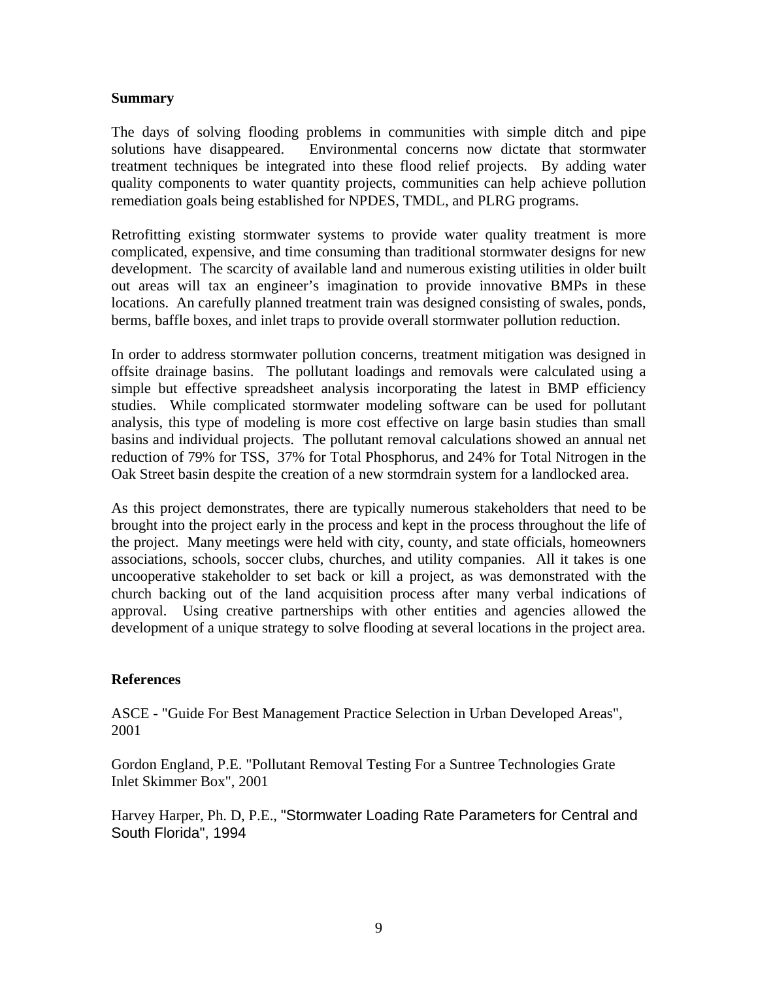#### **Summary**

The days of solving flooding problems in communities with simple ditch and pipe solutions have disappeared. Environmental concerns now dictate that stormwater treatment techniques be integrated into these flood relief projects. By adding water quality components to water quantity projects, communities can help achieve pollution remediation goals being established for NPDES, TMDL, and PLRG programs.

Retrofitting existing stormwater systems to provide water quality treatment is more complicated, expensive, and time consuming than traditional stormwater designs for new development. The scarcity of available land and numerous existing utilities in older built out areas will tax an engineer's imagination to provide innovative BMPs in these locations. An carefully planned treatment train was designed consisting of swales, ponds, berms, baffle boxes, and inlet traps to provide overall stormwater pollution reduction.

In order to address stormwater pollution concerns, treatment mitigation was designed in offsite drainage basins. The pollutant loadings and removals were calculated using a simple but effective spreadsheet analysis incorporating the latest in BMP efficiency studies. While complicated stormwater modeling software can be used for pollutant analysis, this type of modeling is more cost effective on large basin studies than small basins and individual projects. The pollutant removal calculations showed an annual net reduction of 79% for TSS, 37% for Total Phosphorus, and 24% for Total Nitrogen in the Oak Street basin despite the creation of a new stormdrain system for a landlocked area.

As this project demonstrates, there are typically numerous stakeholders that need to be brought into the project early in the process and kept in the process throughout the life of the project. Many meetings were held with city, county, and state officials, homeowners associations, schools, soccer clubs, churches, and utility companies. All it takes is one uncooperative stakeholder to set back or kill a project, as was demonstrated with the church backing out of the land acquisition process after many verbal indications of approval. Using creative partnerships with other entities and agencies allowed the development of a unique strategy to solve flooding at several locations in the project area.

#### **References**

ASCE - "Guide For Best Management Practice Selection in Urban Developed Areas", 2001

Gordon England, P.E. "Pollutant Removal Testing For a Suntree Technologies Grate Inlet Skimmer Box", 2001

Harvey Harper, Ph. D, P.E., "Stormwater Loading Rate Parameters for Central and South Florida", 1994